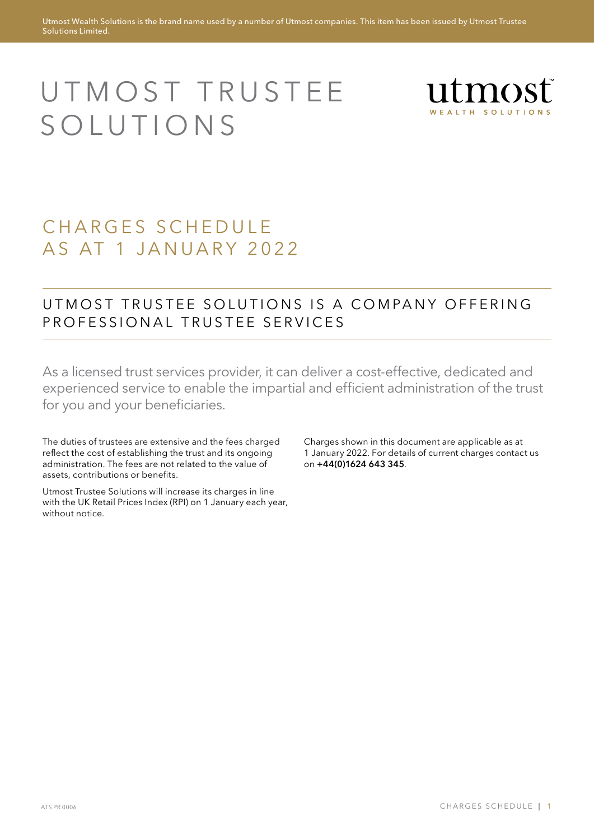# UTMOST TRUSTEE **SOLUTIONS**



# CHARGES SCHEDULE AS AT 1 JANUARY 2022

### UTMOST TRUSTEE SOLUTIONS IS A COMPANY OFFERING PROFESSIONAL TRUSTEE SERVICES

As a licensed trust services provider, it can deliver a cost-effective, dedicated and experienced service to enable the impartial and efficient administration of the trust for you and your beneficiaries.

The duties of trustees are extensive and the fees charged reflect the cost of establishing the trust and its ongoing administration. The fees are not related to the value of assets, contributions or benefits.

Utmost Trustee Solutions will increase its charges in line with the UK Retail Prices Index (RPI) on 1 January each year, without notice.

Charges shown in this document are applicable as at 1 January 2022. For details of current charges contact us on +44(0)1624 643 345.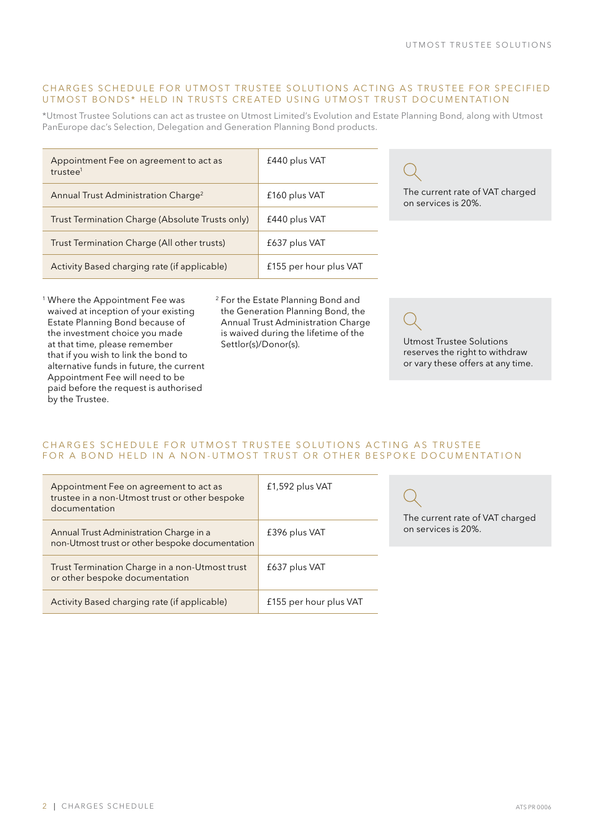#### CHARGES SCHEDULE FOR UTMOST TRUSTEE SOLUTIONS ACTING AS TRUSTEE FOR SPECIFIED UTMOST BONDS\* HELD IN TRUSTS CREATED USING UTMOST TRUST DOCUMENTATION

\*Utmost Trustee Solutions can act as trustee on Utmost Limited's Evolution and Estate Planning Bond, along with Utmost PanEurope dac's Selection, Delegation and Generation Planning Bond products.

| Appointment Fee on agreement to act as<br>trustee <sup>1</sup> | £440 plus VAT          |                                                        |
|----------------------------------------------------------------|------------------------|--------------------------------------------------------|
| Annual Trust Administration Charge <sup>2</sup>                | £160 plus VAT          | The current rate of VAT charged<br>on services is 20%. |
| Trust Termination Charge (Absolute Trusts only)                | £440 plus VAT          |                                                        |
| Trust Termination Charge (All other trusts)                    | £637 plus VAT          |                                                        |
| Activity Based charging rate (if applicable)                   | £155 per hour plus VAT |                                                        |

<sup>1</sup> Where the Appointment Fee was waived at inception of your existing Estate Planning Bond because of the investment choice you made at that time, please remember that if you wish to link the bond to alternative funds in future, the current Appointment Fee will need to be paid before the request is authorised by the Trustee.

<sup>2</sup> For the Estate Planning Bond and the Generation Planning Bond, the Annual Trust Administration Charge is waived during the lifetime of the Settlor(s)/Donor(s). Utmost Trustee Solutions

reserves the right to withdraw or vary these offers at any time.

#### CHARGES SCHEDULE FOR UTMOST TRUSTEE SOLUTIONS ACTING AS TRUSTEE FOR A BOND HELD IN A NON-UTMOST TRUST OR OTHER BESPOKE DOCUMENTATION

| Appointment Fee on agreement to act as<br>trustee in a non-Utmost trust or other bespoke<br>documentation | £1,592 plus VAT        | The current rate of VAT charged |
|-----------------------------------------------------------------------------------------------------------|------------------------|---------------------------------|
| Annual Trust Administration Charge in a<br>non-Utmost trust or other bespoke documentation                | £396 plus VAT          | on services is 20%.             |
| Trust Termination Charge in a non-Utmost trust<br>or other bespoke documentation                          | £637 plus VAT          |                                 |
| Activity Based charging rate (if applicable)                                                              | £155 per hour plus VAT |                                 |